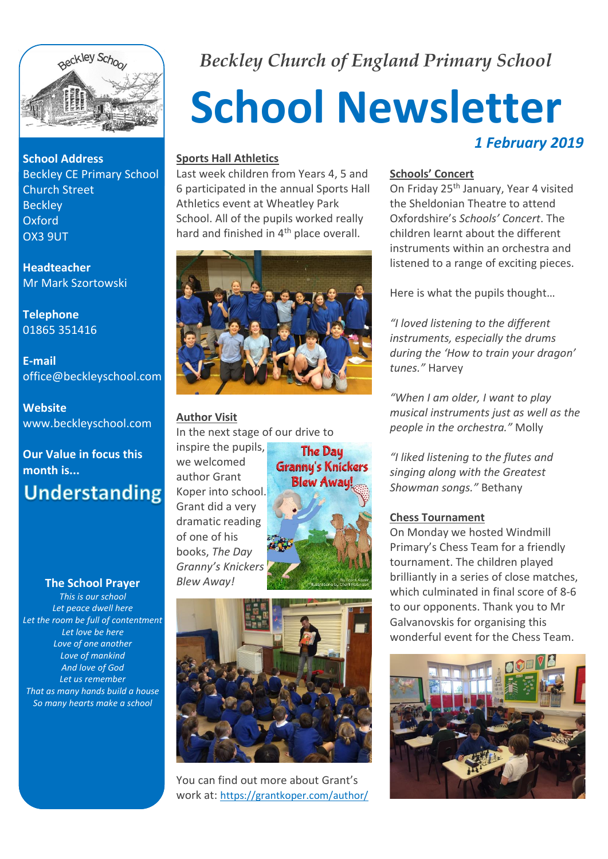

**School Address** Beckley CE Primary School Church Street **Beckley** Oxford OX3 9UT

**Headteacher** Mr Mark Szortowski

**Telephone** 01865 351416

**E-mail** office@beckleyschool.com

**Website** www.beckleyschool.com

# **Our Value in focus this month is... Understanding**

#### **The School Prayer**

*This is our school Let peace dwell here Let the room be full of contentment Let love be here Love of one another Love of mankind And love of God Let us remember That as many hands build a house So many hearts make a school*

# *Beckley Church of England Primary School*

# **School Newsletter** *1 February 2019*

#### **Sports Hall Athletics**

Last week children from Years 4, 5 and 6 participated in the annual Sports Hall Athletics event at Wheatley Park School. All of the pupils worked really hard and finished in 4<sup>th</sup> place overall.



#### **Author Visit**

In the next stage of our drive to

inspire the pupils, we welcomed author Grant Koper into school. Grant did a very dramatic reading of one of his books, *The Day Granny's Knickers Blew Away!*





You can find out more about Grant's work at: https://grantkoper.com/author/

#### **Schools' Concert**

On Friday 25th January, Year 4 visited the Sheldonian Theatre to attend Oxfordshire's *Schools' Concert*. The children learnt about the different instruments within an orchestra and listened to a range of exciting pieces.

Here is what the pupils thought…

*"I loved listening to the different instruments, especially the drums during the 'How to train your dragon' tunes."* Harvey

*"When I am older, I want to play musical instruments just as well as the people in the orchestra."* Molly

*"I liked listening to the flutes and singing along with the Greatest Showman songs."* Bethany

#### **Chess Tournament**

On Monday we hosted Windmill Primary's Chess Team for a friendly tournament. The children played brilliantly in a series of close matches, which culminated in final score of 8-6 to our opponents. Thank you to Mr Galvanovskis for organising this wonderful event for the Chess Team.